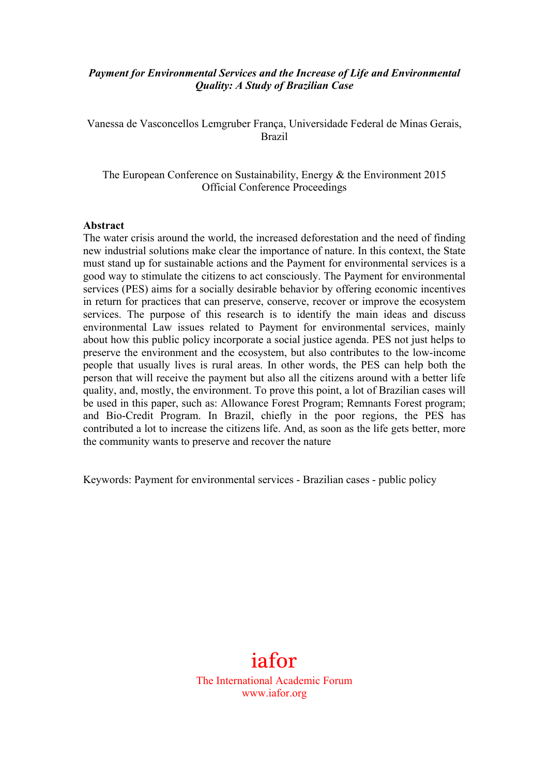### *Payment for Environmental Services and the Increase of Life and Environmental Quality: A Study of Brazilian Case*

Vanessa de Vasconcellos Lemgruber França, Universidade Federal de Minas Gerais, Brazil

The European Conference on Sustainability, Energy & the Environment 2015 Official Conference Proceedings

#### **Abstract**

The water crisis around the world, the increased deforestation and the need of finding new industrial solutions make clear the importance of nature. In this context, the State must stand up for sustainable actions and the Payment for environmental services is a good way to stimulate the citizens to act consciously. The Payment for environmental services (PES) aims for a socially desirable behavior by offering economic incentives in return for practices that can preserve, conserve, recover or improve the ecosystem services. The purpose of this research is to identify the main ideas and discuss environmental Law issues related to Payment for environmental services, mainly about how this public policy incorporate a social justice agenda. PES not just helps to preserve the environment and the ecosystem, but also contributes to the low-income people that usually lives is rural areas. In other words, the PES can help both the person that will receive the payment but also all the citizens around with a better life quality, and, mostly, the environment. To prove this point, a lot of Brazilian cases will be used in this paper, such as: Allowance Forest Program; Remnants Forest program; and Bio-Credit Program. In Brazil, chiefly in the poor regions, the PES has contributed a lot to increase the citizens life. And, as soon as the life gets better, more the community wants to preserve and recover the nature

Keywords: Payment for environmental services - Brazilian cases - public policy

# iafor

The International Academic Forum www.iafor.org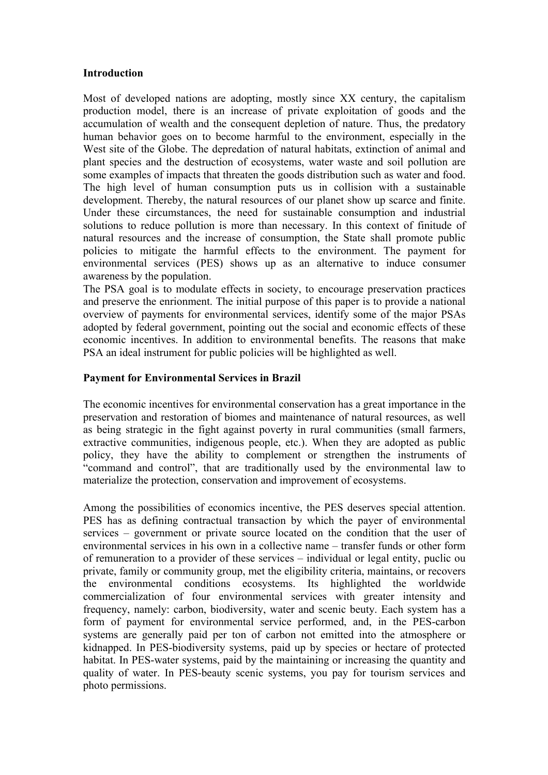#### **Introduction**

Most of developed nations are adopting, mostly since XX century, the capitalism production model, there is an increase of private exploitation of goods and the accumulation of wealth and the consequent depletion of nature. Thus, the predatory human behavior goes on to become harmful to the environment, especially in the West site of the Globe. The depredation of natural habitats, extinction of animal and plant species and the destruction of ecosystems, water waste and soil pollution are some examples of impacts that threaten the goods distribution such as water and food. The high level of human consumption puts us in collision with a sustainable development. Thereby, the natural resources of our planet show up scarce and finite. Under these circumstances, the need for sustainable consumption and industrial solutions to reduce pollution is more than necessary. In this context of finitude of natural resources and the increase of consumption, the State shall promote public policies to mitigate the harmful effects to the environment. The payment for environmental services (PES) shows up as an alternative to induce consumer awareness by the population.

The PSA goal is to modulate effects in society, to encourage preservation practices and preserve the enrionment. The initial purpose of this paper is to provide a national overview of payments for environmental services, identify some of the major PSAs adopted by federal government, pointing out the social and economic effects of these economic incentives. In addition to environmental benefits. The reasons that make PSA an ideal instrument for public policies will be highlighted as well.

#### **Payment for Environmental Services in Brazil**

The economic incentives for environmental conservation has a great importance in the preservation and restoration of biomes and maintenance of natural resources, as well as being strategic in the fight against poverty in rural communities (small farmers, extractive communities, indigenous people, etc.). When they are adopted as public policy, they have the ability to complement or strengthen the instruments of "command and control", that are traditionally used by the environmental law to materialize the protection, conservation and improvement of ecosystems.

Among the possibilities of economics incentive, the PES deserves special attention. PES has as defining contractual transaction by which the payer of environmental services – government or private source located on the condition that the user of environmental services in his own in a collective name – transfer funds or other form of remuneration to a provider of these services – individual or legal entity, puclic ou private, family or community group, met the eligibility criteria, maintains, or recovers the environmental conditions ecosystems. Its highlighted the worldwide commercialization of four environmental services with greater intensity and frequency, namely: carbon, biodiversity, water and scenic beuty. Each system has a form of payment for environmental service performed, and, in the PES-carbon systems are generally paid per ton of carbon not emitted into the atmosphere or kidnapped. In PES-biodiversity systems, paid up by species or hectare of protected habitat. In PES-water systems, paid by the maintaining or increasing the quantity and quality of water. In PES-beauty scenic systems, you pay for tourism services and photo permissions.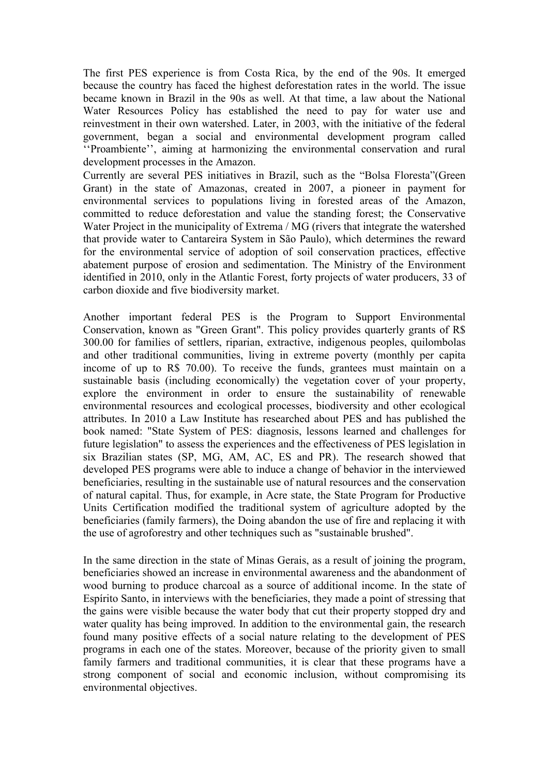The first PES experience is from Costa Rica, by the end of the 90s. It emerged because the country has faced the highest deforestation rates in the world. The issue became known in Brazil in the 90s as well. At that time, a law about the National Water Resources Policy has established the need to pay for water use and reinvestment in their own watershed. Later, in 2003, with the initiative of the federal government, began a social and environmental development program called ''Proambiente'', aiming at harmonizing the environmental conservation and rural development processes in the Amazon.

Currently are several PES initiatives in Brazil, such as the "Bolsa Floresta"(Green Grant) in the state of Amazonas, created in 2007, a pioneer in payment for environmental services to populations living in forested areas of the Amazon, committed to reduce deforestation and value the standing forest; the Conservative Water Project in the municipality of Extrema / MG (rivers that integrate the watershed that provide water to Cantareira System in São Paulo), which determines the reward for the environmental service of adoption of soil conservation practices, effective abatement purpose of erosion and sedimentation. The Ministry of the Environment identified in 2010, only in the Atlantic Forest, forty projects of water producers, 33 of carbon dioxide and five biodiversity market.

Another important federal PES is the Program to Support Environmental Conservation, known as "Green Grant". This policy provides quarterly grants of R\$ 300.00 for families of settlers, riparian, extractive, indigenous peoples, quilombolas and other traditional communities, living in extreme poverty (monthly per capita income of up to R\$ 70.00). To receive the funds, grantees must maintain on a sustainable basis (including economically) the vegetation cover of your property, explore the environment in order to ensure the sustainability of renewable environmental resources and ecological processes, biodiversity and other ecological attributes. In 2010 a Law Institute has researched about PES and has published the book named: "State System of PES: diagnosis, lessons learned and challenges for future legislation" to assess the experiences and the effectiveness of PES legislation in six Brazilian states (SP, MG, AM, AC, ES and PR). The research showed that developed PES programs were able to induce a change of behavior in the interviewed beneficiaries, resulting in the sustainable use of natural resources and the conservation of natural capital. Thus, for example, in Acre state, the State Program for Productive Units Certification modified the traditional system of agriculture adopted by the beneficiaries (family farmers), the Doing abandon the use of fire and replacing it with the use of agroforestry and other techniques such as "sustainable brushed".

In the same direction in the state of Minas Gerais, as a result of joining the program, beneficiaries showed an increase in environmental awareness and the abandonment of wood burning to produce charcoal as a source of additional income. In the state of Espírito Santo, in interviews with the beneficiaries, they made a point of stressing that the gains were visible because the water body that cut their property stopped dry and water quality has being improved. In addition to the environmental gain, the research found many positive effects of a social nature relating to the development of PES programs in each one of the states. Moreover, because of the priority given to small family farmers and traditional communities, it is clear that these programs have a strong component of social and economic inclusion, without compromising its environmental objectives.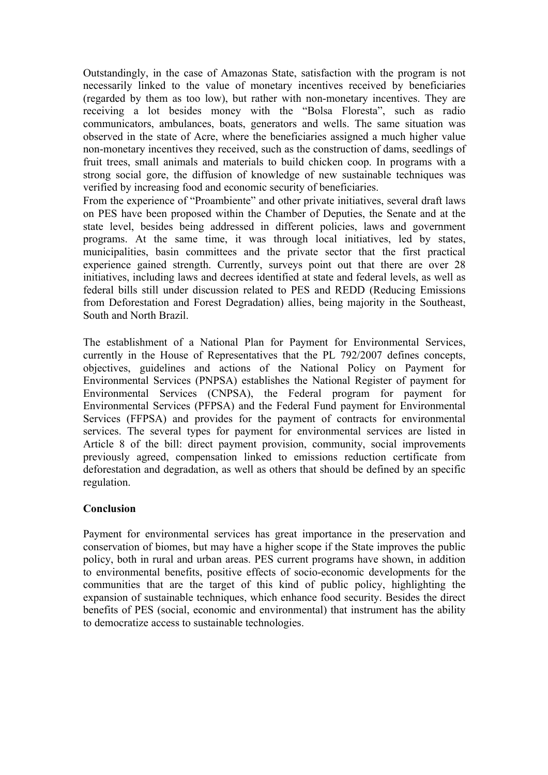Outstandingly, in the case of Amazonas State, satisfaction with the program is not necessarily linked to the value of monetary incentives received by beneficiaries (regarded by them as too low), but rather with non-monetary incentives. They are receiving a lot besides money with the "Bolsa Floresta", such as radio communicators, ambulances, boats, generators and wells. The same situation was observed in the state of Acre, where the beneficiaries assigned a much higher value non-monetary incentives they received, such as the construction of dams, seedlings of fruit trees, small animals and materials to build chicken coop. In programs with a strong social gore, the diffusion of knowledge of new sustainable techniques was verified by increasing food and economic security of beneficiaries.

From the experience of "Proambiente" and other private initiatives, several draft laws on PES have been proposed within the Chamber of Deputies, the Senate and at the state level, besides being addressed in different policies, laws and government programs. At the same time, it was through local initiatives, led by states, municipalities, basin committees and the private sector that the first practical experience gained strength. Currently, surveys point out that there are over 28 initiatives, including laws and decrees identified at state and federal levels, as well as federal bills still under discussion related to PES and REDD (Reducing Emissions from Deforestation and Forest Degradation) allies, being majority in the Southeast, South and North Brazil.

The establishment of a National Plan for Payment for Environmental Services, currently in the House of Representatives that the PL 792/2007 defines concepts, objectives, guidelines and actions of the National Policy on Payment for Environmental Services (PNPSA) establishes the National Register of payment for Environmental Services (CNPSA), the Federal program for payment for Environmental Services (PFPSA) and the Federal Fund payment for Environmental Services (FFPSA) and provides for the payment of contracts for environmental services. The several types for payment for environmental services are listed in Article 8 of the bill: direct payment provision, community, social improvements previously agreed, compensation linked to emissions reduction certificate from deforestation and degradation, as well as others that should be defined by an specific regulation.

## **Conclusion**

Payment for environmental services has great importance in the preservation and conservation of biomes, but may have a higher scope if the State improves the public policy, both in rural and urban areas. PES current programs have shown, in addition to environmental benefits, positive effects of socio-economic developments for the communities that are the target of this kind of public policy, highlighting the expansion of sustainable techniques, which enhance food security. Besides the direct benefits of PES (social, economic and environmental) that instrument has the ability to democratize access to sustainable technologies.